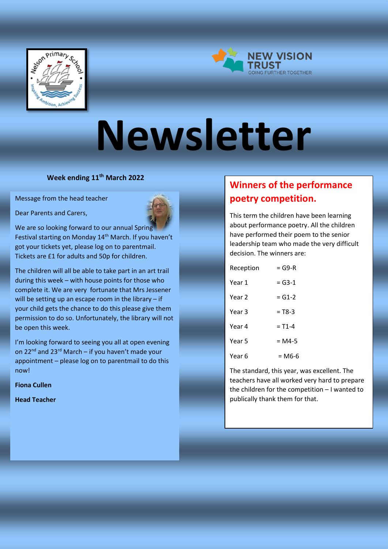



# **Newsletter**

**Week ending 11th March 2022**

Message from the head teacher

Dear Parents and Carers,



We are so looking forward to our annual Spring Festival starting on Monday 14<sup>th</sup> March. If you haven't got your tickets yet, please log on to parentmail. Tickets are £1 for adults and 50p for children.

The children will all be able to take part in an art trail during this week – with house points for those who complete it. We are very fortunate that Mrs Jessener will be setting up an escape room in the library – if your child gets the chance to do this please give them permission to do so. Unfortunately, the library will not be open this week.

I'm looking forward to seeing you all at open evening on  $22^{nd}$  and  $23^{rd}$  March – if you haven't made your appointment – please log on to parentmail to do this now!

**Fiona Cullen** 

**Head Teacher**

# **Winners of the performance poetry competition.**

This term the children have been learning about performance poetry. All the children have performed their poem to the senior leadership team who made the very difficult decision. The winners are:

| Reception | $= G9-R$   |
|-----------|------------|
| Year 1    | $=$ G3-1   |
| Year 2    | $= G1-2$   |
| Year 3    | $= T8-3$   |
| Year 4    | $= T1 - 4$ |
| Year 5    | $= M4-5$   |
| Year 6    | = М6-6     |

The standard, this year, was excellent. The teachers have all worked very hard to prepare the children for the competition – I wanted to publically thank them for that.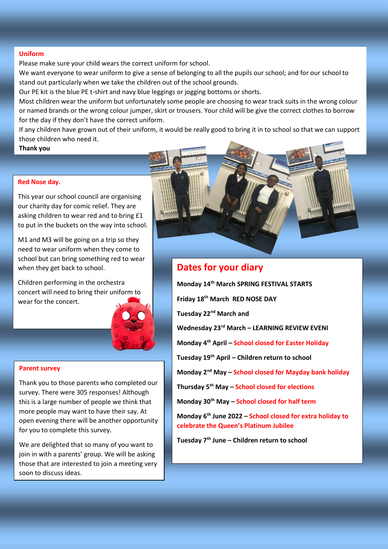#### **Uniform**

Please make sure your child wears the correct uniform for school.

We want everyone to wear uniform to give a sense of belonging to all the pupils our school; and for our school to stand out particularly when we take the children out of the school grounds.

Our PE kit is the blue PE t-shirt and navy blue leggings or jogging bottoms or shorts.

Most children wear the uniform but unfortunately some people are choosing to wear track suits in the wrong colour or named brands or the wrong colour jumper, skirt or trousers. Your child will be give the correct clothes to borrow for the day if they don't have the correct uniform.

If any children have grown out of their uniform, it would be really good to bring it in to school so that we can support those children who need it.

**Thank you**

#### **Red Nose day.**

This year our school council are organising our charity day for comic relief. They are asking children to wear red and to bring £1 to put in the buckets on the way into school.

M1 and M3 will be going on a trip so they need to wear uniform when they come to school but can bring something red to wear when they get back to school.

Children performing in the orchestra concert will need to bring their uniform to wear for the concert.



#### **Parent survey**

Thank you to those parents who completed our survey. There were 305 responses! Although this is a large number of people we think that more people may want to have their say. At open evening there will be another opportunity for you to complete this survey.

We are delighted that so many of you want to join in with a parents' group. We will be asking those that are interested to join a meeting very soon to discuss ideas.



### **Dates for your diary**

**Monday 14th March SPRING FESTIVAL STARTS Friday 18th March RED NOSE DAY Tuesday 22nd March and Wednesday 23rd March – LEARNING REVIEW EVENI Monday 4th April – School closed for Easter Holiday Tuesday 19th April – Children return to school Monday 2nd May – School closed for Mayday bank holiday Thursday 5th May – School closed for elections Monday 30th May – School closed for half term Monday 6th June 2022 – School closed for extra holiday to celebrate the Queen's Platinum Jubilee Tuesday 7th June – Children return to school**